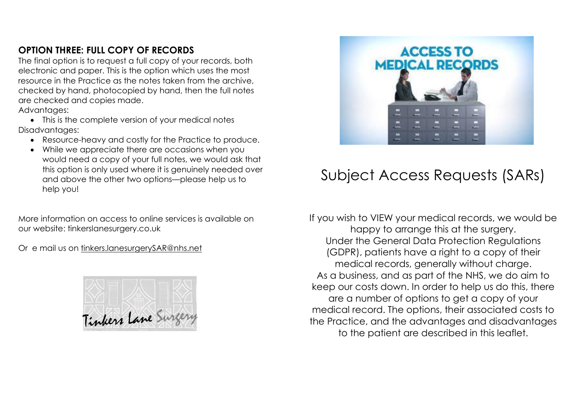## **OPTION THREE: FULL COPY OF RECORDS**

The final option is to request a full copy of your records, both electronic and paper. This is the option which uses the most resource in the Practice as the notes taken from the archive, checked by hand, photocopied by hand, then the full notes are checked and copies made.

Advantages:

• This is the complete version of your medical notes Disadvantages:

- Resource-heavy and costly for the Practice to produce.
- While we appreciate there are occasions when you would need a copy of your full notes, we would ask that this option is only used where it is genuinely needed over and above the other two options—please help us to help you!

More information on access to online services is available on our website: tinkerslanesurgery.co.uk

Or e mail us on [tinkers.lanesurgerySAR@nhs.net](mailto:tinkers.lanesurgerySAR@nhs.net)





# Subject Access Requests (SARs)

If you wish to VIEW your medical records, we would be happy to arrange this at the surgery. Under the General Data Protection Regulations (GDPR), patients have a right to a copy of their medical records, generally without charge. As a business, and as part of the NHS, we do aim to keep our costs down. In order to help us do this, there are a number of options to get a copy of your medical record. The options, their associated costs to the Practice, and the advantages and disadvantages to the patient are described in this leaflet.